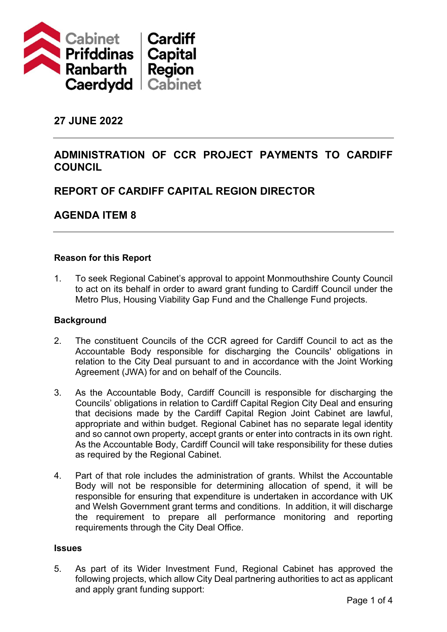

## **27 JUNE 2022**

## **ADMINISTRATION OF CCR PROJECT PAYMENTS TO CARDIFF COUNCIL**

# **REPORT OF CARDIFF CAPITAL REGION DIRECTOR**

## **AGENDA ITEM 8**

#### **Reason for this Report**

1. To seek Regional Cabinet's approval to appoint Monmouthshire County Council to act on its behalf in order to award grant funding to Cardiff Council under the Metro Plus, Housing Viability Gap Fund and the Challenge Fund projects.

#### **Background**

- 2. The constituent Councils of the CCR agreed for Cardiff Council to act as the Accountable Body responsible for discharging the Councils' obligations in relation to the City Deal pursuant to and in accordance with the Joint Working Agreement (JWA) for and on behalf of the Councils.
- 3. As the Accountable Body, Cardiff Councill is responsible for discharging the Councils' obligations in relation to Cardiff Capital Region City Deal and ensuring that decisions made by the Cardiff Capital Region Joint Cabinet are lawful, appropriate and within budget. Regional Cabinet has no separate legal identity and so cannot own property, accept grants or enter into contracts in its own right. As the Accountable Body, Cardiff Council will take responsibility for these duties as required by the Regional Cabinet.
- 4. Part of that role includes the administration of grants. Whilst the Accountable Body will not be responsible for determining allocation of spend, it will be responsible for ensuring that expenditure is undertaken in accordance with UK and Welsh Government grant terms and conditions. In addition, it will discharge the requirement to prepare all performance monitoring and reporting requirements through the City Deal Office.

#### **Issues**

5. As part of its Wider Investment Fund, Regional Cabinet has approved the following projects, which allow City Deal partnering authorities to act as applicant and apply grant funding support: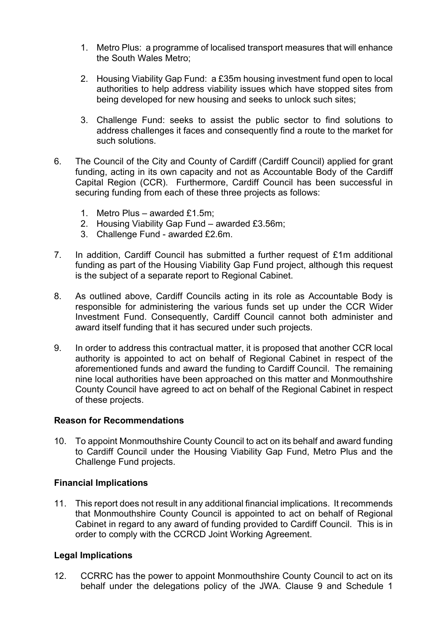- 1. Metro Plus: a programme of localised transport measures that will enhance the South Wales Metro;
- 2. Housing Viability Gap Fund: a £35m housing investment fund open to local authorities to help address viability issues which have stopped sites from being developed for new housing and seeks to unlock such sites;
- 3. Challenge Fund: seeks to assist the public sector to find solutions to address challenges it faces and consequently find a route to the market for such solutions.
- 6. The Council of the City and County of Cardiff (Cardiff Council) applied for grant funding, acting in its own capacity and not as Accountable Body of the Cardiff Capital Region (CCR). Furthermore, Cardiff Council has been successful in securing funding from each of these three projects as follows:
	- 1. Metro Plus awarded £1.5m;
	- 2. Housing Viability Gap Fund awarded £3.56m;
	- 3. Challenge Fund awarded £2.6m.
- 7. In addition, Cardiff Council has submitted a further request of £1m additional funding as part of the Housing Viability Gap Fund project, although this request is the subject of a separate report to Regional Cabinet.
- 8. As outlined above, Cardiff Councils acting in its role as Accountable Body is responsible for administering the various funds set up under the CCR Wider Investment Fund. Consequently, Cardiff Council cannot both administer and award itself funding that it has secured under such projects.
- 9. In order to address this contractual matter, it is proposed that another CCR local authority is appointed to act on behalf of Regional Cabinet in respect of the aforementioned funds and award the funding to Cardiff Council. The remaining nine local authorities have been approached on this matter and Monmouthshire County Council have agreed to act on behalf of the Regional Cabinet in respect of these projects.

#### **Reason for Recommendations**

10. To appoint Monmouthshire County Council to act on its behalf and award funding to Cardiff Council under the Housing Viability Gap Fund, Metro Plus and the Challenge Fund projects.

#### **Financial Implications**

11. This report does not result in any additional financial implications. It recommends that Monmouthshire County Council is appointed to act on behalf of Regional Cabinet in regard to any award of funding provided to Cardiff Council. This is in order to comply with the CCRCD Joint Working Agreement.

#### **Legal Implications**

12. CCRRC has the power to appoint Monmouthshire County Council to act on its behalf under the delegations policy of the JWA. Clause 9 and Schedule 1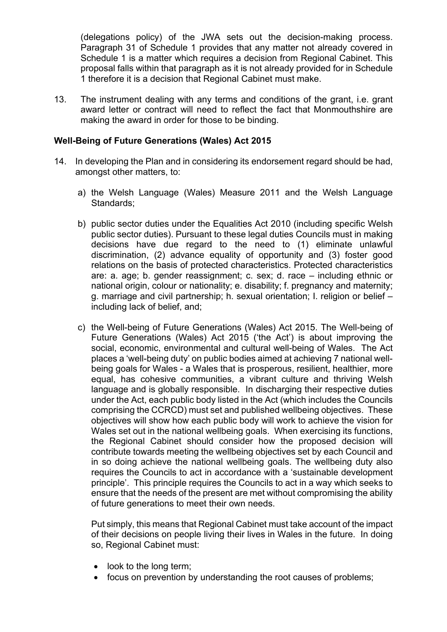(delegations policy) of the JWA sets out the decision-making process. Paragraph 31 of Schedule 1 provides that any matter not already covered in Schedule 1 is a matter which requires a decision from Regional Cabinet. This proposal falls within that paragraph as it is not already provided for in Schedule 1 therefore it is a decision that Regional Cabinet must make.

13. The instrument dealing with any terms and conditions of the grant, i.e. grant award letter or contract will need to reflect the fact that Monmouthshire are making the award in order for those to be binding.

#### **Well-Being of Future Generations (Wales) Act 2015**

- 14. In developing the Plan and in considering its endorsement regard should be had, amongst other matters, to:
	- a) the Welsh Language (Wales) Measure 2011 and the Welsh Language Standards;
	- b) public sector duties under the Equalities Act 2010 (including specific Welsh public sector duties). Pursuant to these legal duties Councils must in making decisions have due regard to the need to (1) eliminate unlawful discrimination, (2) advance equality of opportunity and (3) foster good relations on the basis of protected characteristics. Protected characteristics are: a. age; b. gender reassignment; c. sex; d. race – including ethnic or national origin, colour or nationality; e. disability; f. pregnancy and maternity; g. marriage and civil partnership; h. sexual orientation; I. religion or belief – including lack of belief, and;
	- c) the Well-being of Future Generations (Wales) Act 2015. The Well-being of Future Generations (Wales) Act 2015 ('the Act') is about improving the social, economic, environmental and cultural well-being of Wales. The Act places a 'well-being duty' on public bodies aimed at achieving 7 national wellbeing goals for Wales - a Wales that is prosperous, resilient, healthier, more equal, has cohesive communities, a vibrant culture and thriving Welsh language and is globally responsible. In discharging their respective duties under the Act, each public body listed in the Act (which includes the Councils comprising the CCRCD) must set and published wellbeing objectives. These objectives will show how each public body will work to achieve the vision for Wales set out in the national wellbeing goals. When exercising its functions, the Regional Cabinet should consider how the proposed decision will contribute towards meeting the wellbeing objectives set by each Council and in so doing achieve the national wellbeing goals. The wellbeing duty also requires the Councils to act in accordance with a 'sustainable development principle'. This principle requires the Councils to act in a way which seeks to ensure that the needs of the present are met without compromising the ability of future generations to meet their own needs.

Put simply, this means that Regional Cabinet must take account of the impact of their decisions on people living their lives in Wales in the future. In doing so, Regional Cabinet must:

- look to the long term;
- focus on prevention by understanding the root causes of problems;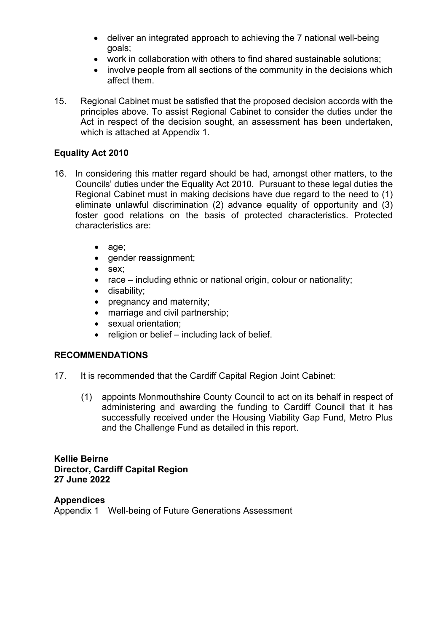- deliver an integrated approach to achieving the 7 national well-being goals;
- work in collaboration with others to find shared sustainable solutions;
- involve people from all sections of the community in the decisions which affect them.
- 15. Regional Cabinet must be satisfied that the proposed decision accords with the principles above. To assist Regional Cabinet to consider the duties under the Act in respect of the decision sought, an assessment has been undertaken, which is attached at Appendix 1.

#### **Equality Act 2010**

- 16. In considering this matter regard should be had, amongst other matters, to the Councils' duties under the Equality Act 2010. Pursuant to these legal duties the Regional Cabinet must in making decisions have due regard to the need to (1) eliminate unlawful discrimination (2) advance equality of opportunity and (3) foster good relations on the basis of protected characteristics. Protected characteristics are:
	- age;
	- gender reassignment;
	- sex;
	- race including ethnic or national origin, colour or nationality;
	- disability;
	- pregnancy and maternity;
	- marriage and civil partnership;
	- sexual orientation;
	- religion or belief including lack of belief.

## **RECOMMENDATIONS**

- 17. It is recommended that the Cardiff Capital Region Joint Cabinet:
	- (1) appoints Monmouthshire County Council to act on its behalf in respect of administering and awarding the funding to Cardiff Council that it has successfully received under the Housing Viability Gap Fund, Metro Plus and the Challenge Fund as detailed in this report.

**Kellie Beirne Director, Cardiff Capital Region 27 June 2022**

#### **Appendices**

Appendix 1 Well-being of Future Generations Assessment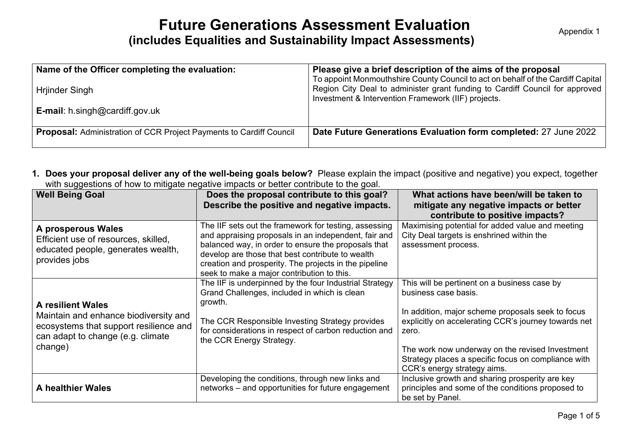# **Future Generations Assessment Evaluation (includes Equalities and Sustainability Impact Assessments)**

| Name of the Officer completing the evaluation:<br>Hrjinder Singh<br><b>E-mail:</b> h.singh@cardiff.gov.uk | Please give a brief description of the aims of the proposal<br>To appoint Monmouthshire County Council to act on behalf of the Cardiff Capital<br>Region City Deal to administer grant funding to Cardiff Council for approved<br>Investment & Intervention Framework (IIF) projects. |
|-----------------------------------------------------------------------------------------------------------|---------------------------------------------------------------------------------------------------------------------------------------------------------------------------------------------------------------------------------------------------------------------------------------|
|                                                                                                           |                                                                                                                                                                                                                                                                                       |
| <b>Proposal:</b> Administration of CCR Project Payments to Cardiff Council                                | Date Future Generations Evaluation form completed: 27 June 2022                                                                                                                                                                                                                       |

**1. Does your proposal deliver any of the well-being goals below?** Please explain the impact (positive and negative) you expect, together with suggestions of how to mitigate negative impacts or better contribute to the goal.

| <b>Well Being Goal</b>                                                                                                                                      | Does the proposal contribute to this goal?<br>Describe the positive and negative impacts.                                                                                                                                                                                                                                       | What actions have been/will be taken to<br>mitigate any negative impacts or better<br>contribute to positive impacts?                                                                                                                                                                                                               |
|-------------------------------------------------------------------------------------------------------------------------------------------------------------|---------------------------------------------------------------------------------------------------------------------------------------------------------------------------------------------------------------------------------------------------------------------------------------------------------------------------------|-------------------------------------------------------------------------------------------------------------------------------------------------------------------------------------------------------------------------------------------------------------------------------------------------------------------------------------|
| A prosperous Wales<br>Efficient use of resources, skilled,<br>educated people, generates wealth,<br>provides jobs                                           | The IIF sets out the framework for testing, assessing<br>and appraising proposals in an independent, fair and<br>balanced way, in order to ensure the proposals that<br>develop are those that best contribute to wealth<br>creation and prosperity. The projects in the pipeline<br>seek to make a major contribution to this. | Maximising potential for added value and meeting<br>City Deal targets is enshrined within the<br>assessment process.                                                                                                                                                                                                                |
| <b>A resilient Wales</b><br>Maintain and enhance biodiversity and<br>ecosystems that support resilience and<br>can adapt to change (e.g. climate<br>change) | The IIF is underpinned by the four Industrial Strategy<br>Grand Challenges, included in which is clean<br>growth.<br>The CCR Responsible Investing Strategy provides<br>for considerations in respect of carbon reduction and<br>the CCR Energy Strategy.                                                                       | This will be pertinent on a business case by<br>business case basis.<br>In addition, major scheme proposals seek to focus<br>explicitly on accelerating CCR's journey towards net<br>zero.<br>The work now underway on the revised Investment<br>Strategy places a specific focus on compliance with<br>CCR's energy strategy aims. |
| <b>A healthier Wales</b>                                                                                                                                    | Developing the conditions, through new links and<br>networks – and opportunities for future engagement                                                                                                                                                                                                                          | Inclusive growth and sharing prosperity are key<br>principles and some of the conditions proposed to<br>be set by Panel.                                                                                                                                                                                                            |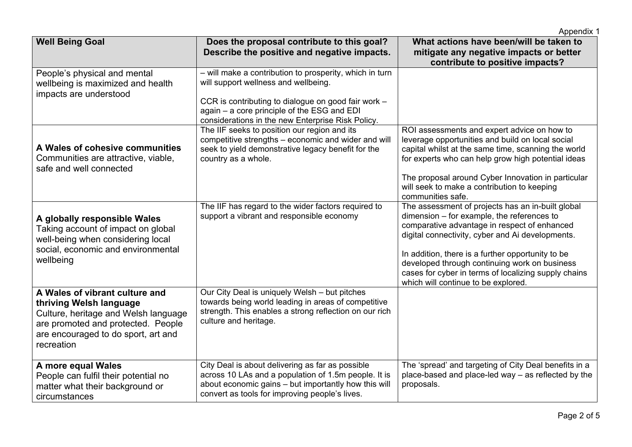|                                                                                                                                                                                              |                                                                                                                                                                                                                    | Appendix 1                                                                                                                                                                                                                                                                                                                                                                                               |
|----------------------------------------------------------------------------------------------------------------------------------------------------------------------------------------------|--------------------------------------------------------------------------------------------------------------------------------------------------------------------------------------------------------------------|----------------------------------------------------------------------------------------------------------------------------------------------------------------------------------------------------------------------------------------------------------------------------------------------------------------------------------------------------------------------------------------------------------|
| <b>Well Being Goal</b>                                                                                                                                                                       | Does the proposal contribute to this goal?<br>Describe the positive and negative impacts.                                                                                                                          | What actions have been/will be taken to<br>mitigate any negative impacts or better<br>contribute to positive impacts?                                                                                                                                                                                                                                                                                    |
| People's physical and mental<br>wellbeing is maximized and health<br>impacts are understood                                                                                                  | - will make a contribution to prosperity, which in turn<br>will support wellness and wellbeing.                                                                                                                    |                                                                                                                                                                                                                                                                                                                                                                                                          |
|                                                                                                                                                                                              | CCR is contributing to dialogue on good fair work -<br>again - a core principle of the ESG and EDI<br>considerations in the new Enterprise Risk Policy.                                                            |                                                                                                                                                                                                                                                                                                                                                                                                          |
| A Wales of cohesive communities<br>Communities are attractive, viable,<br>safe and well connected                                                                                            | The IIF seeks to position our region and its<br>competitive strengths - economic and wider and will<br>seek to yield demonstrative legacy benefit for the<br>country as a whole.                                   | ROI assessments and expert advice on how to<br>leverage opportunities and build on local social<br>capital whilst at the same time, scanning the world<br>for experts who can help grow high potential ideas                                                                                                                                                                                             |
|                                                                                                                                                                                              |                                                                                                                                                                                                                    | The proposal around Cyber Innovation in particular<br>will seek to make a contribution to keeping<br>communities safe.                                                                                                                                                                                                                                                                                   |
| A globally responsible Wales<br>Taking account of impact on global<br>well-being when considering local<br>social, economic and environmental<br>wellbeing                                   | The IIF has regard to the wider factors required to<br>support a vibrant and responsible economy                                                                                                                   | The assessment of projects has an in-built global<br>dimension – for example, the references to<br>comparative advantage in respect of enhanced<br>digital connectivity, cyber and Ai developments.<br>In addition, there is a further opportunity to be<br>developed through continuing work on business<br>cases for cyber in terms of localizing supply chains<br>which will continue to be explored. |
| A Wales of vibrant culture and<br>thriving Welsh language<br>Culture, heritage and Welsh language<br>are promoted and protected. People<br>are encouraged to do sport, art and<br>recreation | Our City Deal is uniquely Welsh - but pitches<br>towards being world leading in areas of competitive<br>strength. This enables a strong reflection on our rich<br>culture and heritage.                            |                                                                                                                                                                                                                                                                                                                                                                                                          |
| A more equal Wales<br>People can fulfil their potential no<br>matter what their background or<br>circumstances                                                                               | City Deal is about delivering as far as possible<br>across 10 LAs and a population of 1.5m people. It is<br>about economic gains - but importantly how this will<br>convert as tools for improving people's lives. | The 'spread' and targeting of City Deal benefits in a<br>place-based and place-led way - as reflected by the<br>proposals.                                                                                                                                                                                                                                                                               |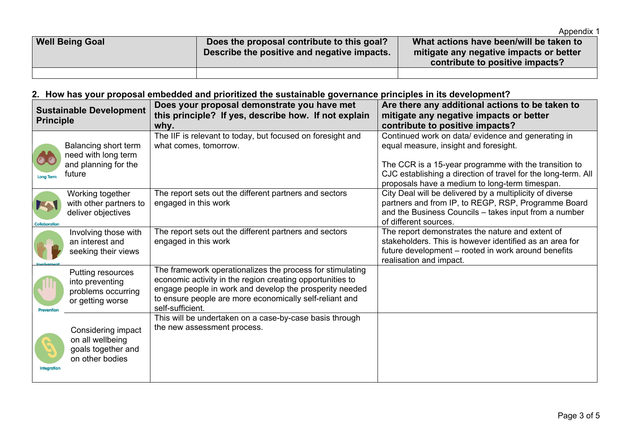|                        |                                                                                           | Appendix 1                                                                                                            |
|------------------------|-------------------------------------------------------------------------------------------|-----------------------------------------------------------------------------------------------------------------------|
| <b>Well Being Goal</b> | Does the proposal contribute to this goal?<br>Describe the positive and negative impacts. | What actions have been/will be taken to<br>mitigate any negative impacts or better<br>contribute to positive impacts? |
|                        |                                                                                           |                                                                                                                       |

## **2. How has your proposal embedded and prioritized the sustainable governance principles in its development?**

| <b>Principle</b>     | <b>Sustainable Development</b>                                                  | Does your proposal demonstrate you have met<br>this principle? If yes, describe how. If not explain<br>why.                                                                                                                                                      | Are there any additional actions to be taken to<br>mitigate any negative impacts or better<br>contribute to positive impacts?                                                                                                                                           |
|----------------------|---------------------------------------------------------------------------------|------------------------------------------------------------------------------------------------------------------------------------------------------------------------------------------------------------------------------------------------------------------|-------------------------------------------------------------------------------------------------------------------------------------------------------------------------------------------------------------------------------------------------------------------------|
| <b>Long Terr</b>     | Balancing short term<br>need with long term<br>and planning for the<br>future   | The IIF is relevant to today, but focused on foresight and<br>what comes, tomorrow.                                                                                                                                                                              | Continued work on data/ evidence and generating in<br>equal measure, insight and foresight.<br>The CCR is a 15-year programme with the transition to<br>CJC establishing a direction of travel for the long-term. All<br>proposals have a medium to long-term timespan. |
| <b>Collaboration</b> | Working together<br>with other partners to<br>deliver objectives                | The report sets out the different partners and sectors<br>engaged in this work                                                                                                                                                                                   | City Deal will be delivered by a multiplicity of diverse<br>partners and from IP, to REGP, RSP, Programme Board<br>and the Business Councils - takes input from a number<br>of different sources.                                                                       |
|                      | Involving those with<br>an interest and<br>seeking their views                  | The report sets out the different partners and sectors<br>engaged in this work                                                                                                                                                                                   | The report demonstrates the nature and extent of<br>stakeholders. This is however identified as an area for<br>future development – rooted in work around benefits<br>realisation and impact.                                                                           |
| Prevention           | Putting resources<br>into preventing<br>problems occurring<br>or getting worse  | The framework operationalizes the process for stimulating<br>economic activity in the region creating opportunities to<br>engage people in work and develop the prosperity needed<br>to ensure people are more economically self-reliant and<br>self-sufficient. |                                                                                                                                                                                                                                                                         |
| <b>Integration</b>   | Considering impact<br>on all wellbeing<br>goals together and<br>on other bodies | This will be undertaken on a case-by-case basis through<br>the new assessment process.                                                                                                                                                                           |                                                                                                                                                                                                                                                                         |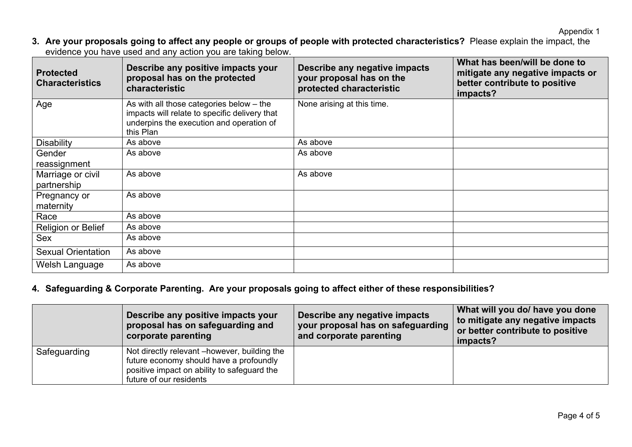**3. Are your proposals going to affect any people or groups of people with protected characteristics?** Please explain the impact, the evidence you have used and any action you are taking below.

| <b>Protected</b><br><b>Characteristics</b> | Describe any positive impacts your<br>proposal has on the protected<br>characteristic                                                                | Describe any negative impacts<br>your proposal has on the<br>protected characteristic | What has been/will be done to<br>mitigate any negative impacts or<br>better contribute to positive<br>impacts? |
|--------------------------------------------|------------------------------------------------------------------------------------------------------------------------------------------------------|---------------------------------------------------------------------------------------|----------------------------------------------------------------------------------------------------------------|
| Age                                        | As with all those categories below $-$ the<br>impacts will relate to specific delivery that<br>underpins the execution and operation of<br>this Plan | None arising at this time.                                                            |                                                                                                                |
| <b>Disability</b>                          | As above                                                                                                                                             | As above                                                                              |                                                                                                                |
| Gender<br>reassignment                     | As above                                                                                                                                             | As above                                                                              |                                                                                                                |
| Marriage or civil<br>partnership           | As above                                                                                                                                             | As above                                                                              |                                                                                                                |
| Pregnancy or<br>maternity                  | As above                                                                                                                                             |                                                                                       |                                                                                                                |
| Race                                       | As above                                                                                                                                             |                                                                                       |                                                                                                                |
| Religion or Belief                         | As above                                                                                                                                             |                                                                                       |                                                                                                                |
| Sex                                        | As above                                                                                                                                             |                                                                                       |                                                                                                                |
| <b>Sexual Orientation</b>                  | As above                                                                                                                                             |                                                                                       |                                                                                                                |
| Welsh Language                             | As above                                                                                                                                             |                                                                                       |                                                                                                                |

## **4. Safeguarding & Corporate Parenting. Are your proposals going to affect either of these responsibilities?**

|              | Describe any positive impacts your<br>proposal has on safeguarding and<br>corporate parenting                                                                      | Describe any negative impacts<br>your proposal has on safeguarding<br>and corporate parenting | What will you do/ have you done<br>to mitigate any negative impacts<br>or better contribute to positive<br>impacts? |
|--------------|--------------------------------------------------------------------------------------------------------------------------------------------------------------------|-----------------------------------------------------------------------------------------------|---------------------------------------------------------------------------------------------------------------------|
| Safeguarding | Not directly relevant – however, building the<br>future economy should have a profoundly<br>positive impact on ability to safeguard the<br>future of our residents |                                                                                               |                                                                                                                     |